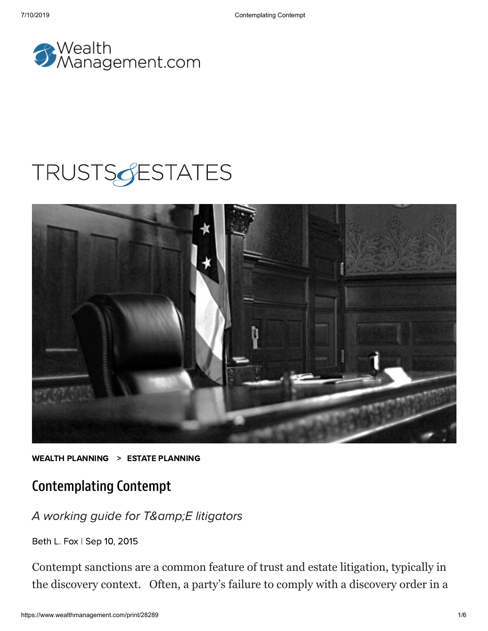

# **TRUSTSGESTATES**



WEALTH [PLANNING](https://www.wealthmanagement.com/wealth-planning/estate-planning) > ESTATE PLANNING

### Contemplating Contempt

A working guide for T&E litigators

[Beth](https://www.wealthmanagement.com/author/Beth-Fox) L. Fox | Sep 10, 2015

Contempt sanctions are a common feature of trust and estate litigation, typically in the discovery context. Often, a party's failure to comply with a discovery order in a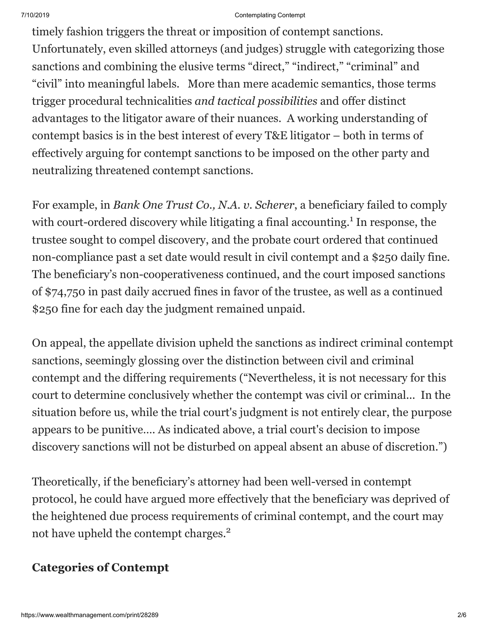timely fashion triggers the threat or imposition of contempt sanctions. Unfortunately, even skilled attorneys (and judges) struggle with categorizing those sanctions and combining the elusive terms "direct," "indirect," "criminal" and "civil" into meaningful labels. More than mere academic semantics, those terms trigger procedural technicalities *and tactical possibilities* and offer distinct advantages to the litigator aware of their nuances. A working understanding of contempt basics is in the best interest of every T&E litigator – both in terms of effectively arguing for contempt sanctions to be imposed on the other party and neutralizing threatened contempt sanctions.

For example, in *Bank One Trust Co., N.A. v. Scherer*, a beneficiary failed to comply with court-ordered discovery while litigating a final accounting.<sup>1</sup> In response, the trustee sought to compel discovery, and the probate court ordered that continued non-compliance past a set date would result in civil contempt and a \$250 daily fine. The beneficiary's non-cooperativeness continued, and the court imposed sanctions of \$74,750 in past daily accrued fines in favor of the trustee, as well as a continued \$250 fine for each day the judgment remained unpaid.

On appeal, the appellate division upheld the sanctions as indirect criminal contempt sanctions, seemingly glossing over the distinction between civil and criminal contempt and the differing requirements ("Nevertheless, it is not necessary for this court to determine conclusively whether the contempt was civil or criminal... In the situation before us, while the trial court's judgment is not entirely clear, the purpose appears to be punitive…. As indicated above, a trial court's decision to impose discovery sanctions will not be disturbed on appeal absent an abuse of discretion.")

Theoretically, if the beneficiary's attorney had been well-versed in contempt protocol, he could have argued more effectively that the beneficiary was deprived of the heightened due process requirements of criminal contempt, and the court may not have upheld the contempt charges.<sup>2</sup>

### **Categories of Contempt**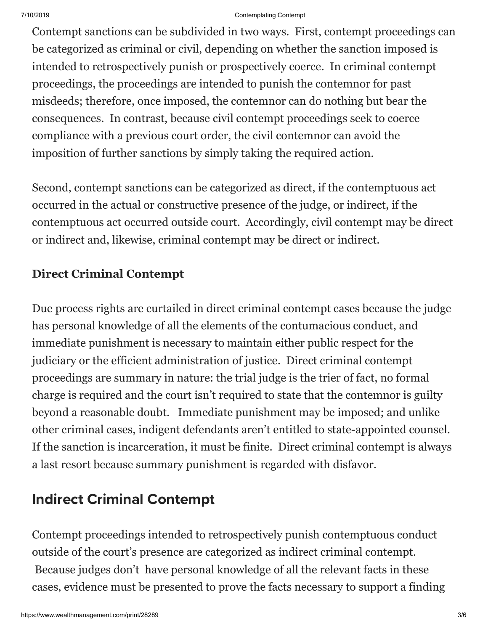Contempt sanctions can be subdivided in two ways. First, contempt proceedings can be categorized as criminal or civil, depending on whether the sanction imposed is intended to retrospectively punish or prospectively coerce. In criminal contempt proceedings, the proceedings are intended to punish the contemnor for past misdeeds; therefore, once imposed, the contemnor can do nothing but bear the consequences. In contrast, because civil contempt proceedings seek to coerce compliance with a previous court order, the civil contemnor can avoid the imposition of further sanctions by simply taking the required action.

Second, contempt sanctions can be categorized as direct, if the contemptuous act occurred in the actual or constructive presence of the judge, or indirect, if the contemptuous act occurred outside court. Accordingly, civil contempt may be direct or indirect and, likewise, criminal contempt may be direct or indirect.

### **Direct Criminal Contempt**

Due process rights are curtailed in direct criminal contempt cases because the judge has personal knowledge of all the elements of the contumacious conduct, and immediate punishment is necessary to maintain either public respect for the judiciary or the efficient administration of justice. Direct criminal contempt proceedings are summary in nature: the trial judge is the trier of fact, no formal charge is required and the court isn't required to state that the contemnor is guilty beyond a reasonable doubt. Immediate punishment may be imposed; and unlike other criminal cases, indigent defendants aren't entitled to state-appointed counsel. If the sanction is incarceration, it must be finite. Direct criminal contempt is always a last resort because summary punishment is regarded with disfavor.

## Indirect Criminal Contempt

Contempt proceedings intended to retrospectively punish contemptuous conduct outside of the court's presence are categorized as indirect criminal contempt. Because judges don't have personal knowledge of all the relevant facts in these cases, evidence must be presented to prove the facts necessary to support a finding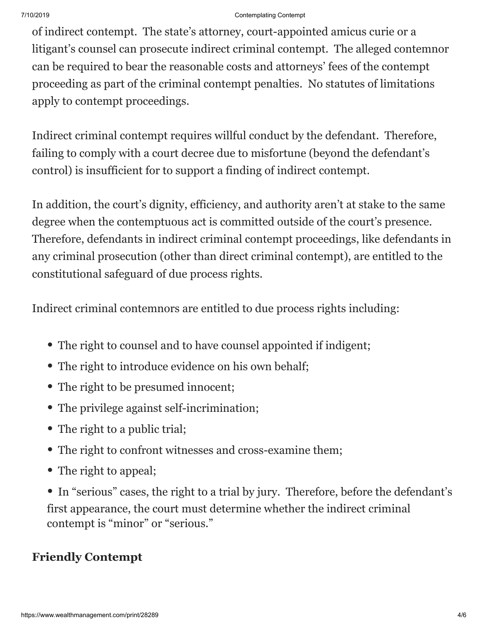of indirect contempt. The state's attorney, court-appointed amicus curie or a litigant's counsel can prosecute indirect criminal contempt. The alleged contemnor can be required to bear the reasonable costs and attorneys' fees of the contempt proceeding as part of the criminal contempt penalties. No statutes of limitations apply to contempt proceedings.

Indirect criminal contempt requires willful conduct by the defendant. Therefore, failing to comply with a court decree due to misfortune (beyond the defendant's control) is insufficient for to support a finding of indirect contempt.

In addition, the court's dignity, efficiency, and authority aren't at stake to the same degree when the contemptuous act is committed outside of the court's presence. Therefore, defendants in indirect criminal contempt proceedings, like defendants in any criminal prosecution (other than direct criminal contempt), are entitled to the constitutional safeguard of due process rights.

Indirect criminal contemnors are entitled to due process rights including:

- The right to counsel and to have counsel appointed if indigent;
- The right to introduce evidence on his own behalf;
- The right to be presumed innocent;
- The privilege against self-incrimination;
- The right to a public trial;
- The right to confront witnesses and cross-examine them;
- The right to appeal;

• In "serious" cases, the right to a trial by jury. Therefore, before the defendant's first appearance, the court must determine whether the indirect criminal contempt is "minor" or "serious."

### **Friendly Contempt**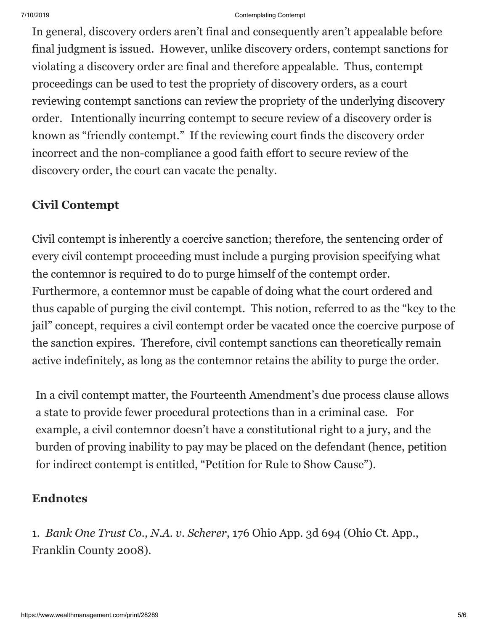In general, discovery orders aren't final and consequently aren't appealable before final judgment is issued. However, unlike discovery orders, contempt sanctions for violating a discovery order are final and therefore appealable. Thus, contempt proceedings can be used to test the propriety of discovery orders, as a court reviewing contempt sanctions can review the propriety of the underlying discovery order. Intentionally incurring contempt to secure review of a discovery order is known as "friendly contempt." If the reviewing court finds the discovery order incorrect and the non-compliance a good faith effort to secure review of the discovery order, the court can vacate the penalty.

### **Civil Contempt**

Civil contempt is inherently a coercive sanction; therefore, the sentencing order of every civil contempt proceeding must include a purging provision specifying what the contemnor is required to do to purge himself of the contempt order. Furthermore, a contemnor must be capable of doing what the court ordered and thus capable of purging the civil contempt. This notion, referred to as the "key to the jail" concept, requires a civil contempt order be vacated once the coercive purpose of the sanction expires. Therefore, civil contempt sanctions can theoretically remain active indefinitely, as long as the contemnor retains the ability to purge the order.

In a civil contempt matter, the Fourteenth Amendment's due process clause allows a state to provide fewer procedural protections than in a criminal case. For example, a civil contemnor doesn't have a constitutional right to a jury, and the burden of proving inability to pay may be placed on the defendant (hence, petition for indirect contempt is entitled, "Petition for Rule to Show Cause").

### **Endnotes**

1*. Bank One Trust Co., N.A. v. Scherer*, 176 Ohio App. 3d 694 (Ohio Ct. App., Franklin County 2008).